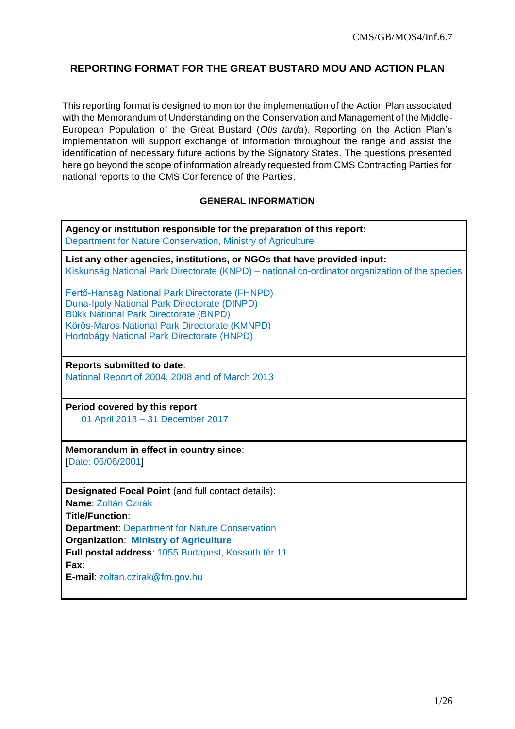# **REPORTING FORMAT FOR THE GREAT BUSTARD MOU AND ACTION PLAN**

This reporting format is designed to monitor the implementation of the Action Plan associated with the Memorandum of Understanding on the Conservation and Management of the Middle-European Population of the Great Bustard (*Otis tarda*). Reporting on the Action Plan's implementation will support exchange of information throughout the range and assist the identification of necessary future actions by the Signatory States. The questions presented here go beyond the scope of information already requested from CMS Contracting Parties for national reports to the CMS Conference of the Parties.

#### **GENERAL INFORMATION**

**Agency or institution responsible for the preparation of this report:** Department for Nature Conservation, Ministry of Agriculture

**List any other agencies, institutions, or NGOs that have provided input:** Kiskunság National Park Directorate (KNPD) – national co-ordinator organization of the species

Fertő-Hanság National Park Directorate (FHNPD) Duna-Ipoly National Park Directorate (DINPD) Bükk National Park Directorate (BNPD) Körös-Maros National Park Directorate (KMNPD) Hortobágy National Park Directorate (HNPD)

**Reports submitted to date**: National Report of 2004, 2008 and of March 2013

**Period covered by this report** 01 April 2013 – 31 December 2017

**Memorandum in effect in country since**: [Date: 06/06/2001]

**Designated Focal Point** (and full contact details): **Name**: Zoltán Czirák **Title/Function**: **Department**: Department for Nature Conservation **Organization**: **Ministry of Agriculture Full postal address**: 1055 Budapest, Kossuth tér 11. **Fax**:

**E-mail**: zoltan.czirak@fm.gov.hu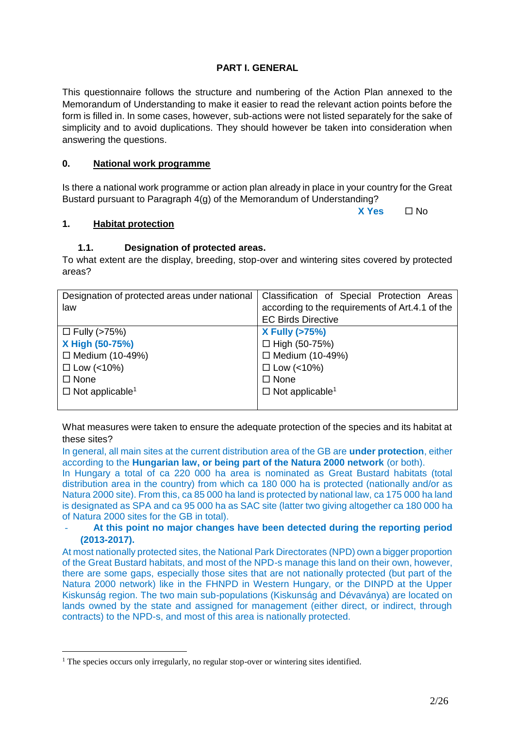### **PART I. GENERAL**

This questionnaire follows the structure and numbering of the Action Plan annexed to the Memorandum of Understanding to make it easier to read the relevant action points before the form is filled in. In some cases, however, sub-actions were not listed separately for the sake of simplicity and to avoid duplications. They should however be taken into consideration when answering the questions.

## **0. National work programme**

Is there a national work programme or action plan already in place in your country for the Great Bustard pursuant to Paragraph 4(g) of the Memorandum of Understanding?

**X Yes** □ No

### **1. Habitat protection**

1

### **1.1. Designation of protected areas.**

To what extent are the display, breeding, stop-over and wintering sites covered by protected areas?

| Designation of protected areas under national | Classification of Special Protection Areas      |
|-----------------------------------------------|-------------------------------------------------|
| law                                           | according to the requirements of Art.4.1 of the |
|                                               | <b>EC Birds Directive</b>                       |
| $\Box$ Fully (>75%)                           | <b>X Fully (&gt;75%)</b>                        |
| X High (50-75%)                               | $\Box$ High (50-75%)                            |
| $\Box$ Medium (10-49%)                        | $\Box$ Medium (10-49%)                          |
| $\Box$ Low (<10%)                             | $\Box$ Low (<10%)                               |
| $\Box$ None                                   | $\Box$ None                                     |
| $\Box$ Not applicable <sup>1</sup>            | $\Box$ Not applicable <sup>1</sup>              |
|                                               |                                                 |

<span id="page-1-0"></span>What measures were taken to ensure the adequate protection of the species and its habitat at these sites?

In general, all main sites at the current distribution area of the GB are **under protection**, either according to the **Hungarian law, or being part of the Natura 2000 network** (or both).

In Hungary a total of ca 220 000 ha area is nominated as Great Bustard habitats (total distribution area in the country) from which ca 180 000 ha is protected (nationally and/or as Natura 2000 site). From this, ca 85 000 ha land is protected by national law, ca 175 000 ha land is designated as SPA and ca 95 000 ha as SAC site (latter two giving altogether ca 180 000 ha of Natura 2000 sites for the GB in total).

#### - **At this point no major changes have been detected during the reporting period (2013-2017).**

At most nationally protected sites, the National Park Directorates (NPD) own a bigger proportion of the Great Bustard habitats, and most of the NPD-s manage this land on their own, however, there are some gaps, especially those sites that are not nationally protected (but part of the Natura 2000 network) like in the FHNPD in Western Hungary, or the DINPD at the Upper Kiskunság region. The two main sub-populations (Kiskunság and Dévaványa) are located on lands owned by the state and assigned for management (either direct, or indirect, through contracts) to the NPD-s, and most of this area is nationally protected.

<sup>&</sup>lt;sup>1</sup> The species occurs only irregularly, no regular stop-over or wintering sites identified.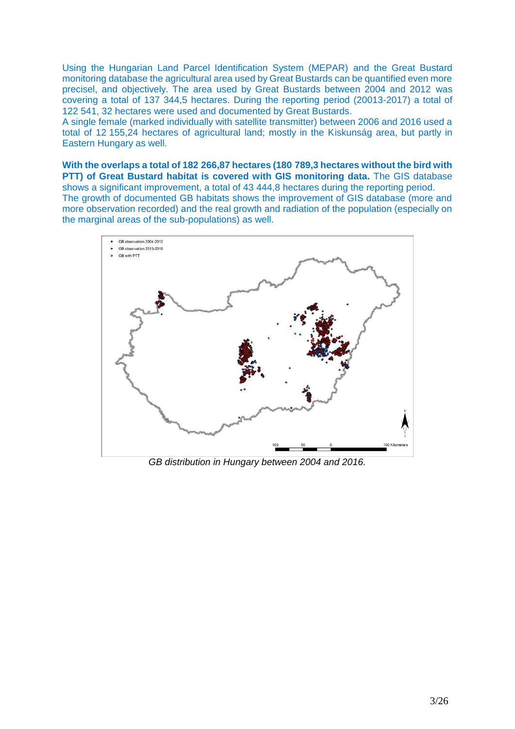Using the Hungarian Land Parcel Identification System (MEPAR) and the Great Bustard monitoring database the agricultural area used by Great Bustards can be quantified even more precisel, and objectively. The area used by Great Bustards between 2004 and 2012 was covering a total of 137 344,5 hectares. During the reporting period (20013-2017) a total of 122 541, 32 hectares were used and documented by Great Bustards.

A single female (marked individually with satellite transmitter) between 2006 and 2016 used a total of 12 155,24 hectares of agricultural land; mostly in the Kiskunság area, but partly in Eastern Hungary as well.

**With the overlaps a total of 182 266,87 hectares (180 789,3 hectares without the bird with PTT) of Great Bustard habitat is covered with GIS monitoring data.** The GIS database shows a significant improvement, a total of 43 444,8 hectares during the reporting period. The growth of documented GB habitats shows the improvement of GIS database (more and more observation recorded) and the real growth and radiation of the population (especially on the marginal areas of the sub-populations) as well.



*GB distribution in Hungary between 2004 and 2016.*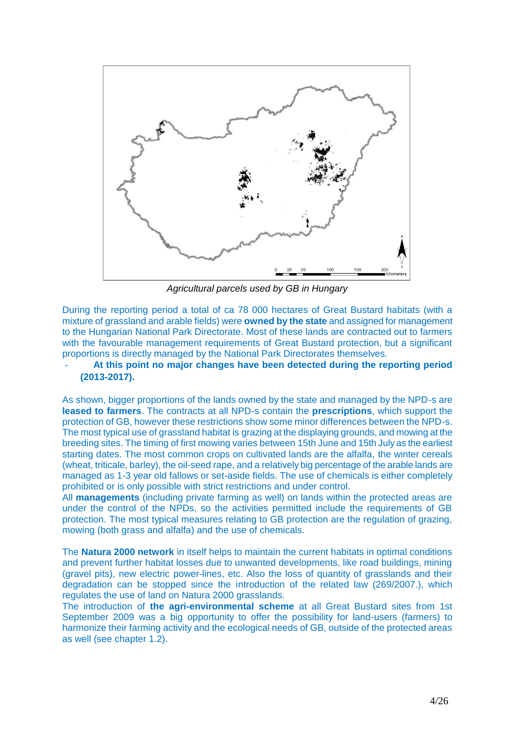

*Agricultural parcels used by GB in Hungary*

During the reporting period a total of ca 78 000 hectares of Great Bustard habitats (with a mixture of grassland and arable fields) were **owned by the state** and assigned for management to the Hungarian National Park Directorate. Most of these lands are contracted out to farmers with the favourable management requirements of Great Bustard protection, but a significant proportions is directly managed by the National Park Directorates themselves.

- **At this point no major changes have been detected during the reporting period (2013-2017).**

As shown, bigger proportions of the lands owned by the state and managed by the NPD-s are **leased to farmers**. The contracts at all NPD-s contain the **prescriptions**, which support the protection of GB, however these restrictions show some minor differences between the NPD-s. The most typical use of grassland habitat is grazing at the displaying grounds, and mowing at the breeding sites. The timing of first mowing varies between 15th June and 15th July as the earliest starting dates. The most common crops on cultivated lands are the alfalfa, the winter cereals (wheat, triticale, barley), the oil-seed rape, and a relatively big percentage of the arable lands are managed as 1-3 year old fallows or set-aside fields. The use of chemicals is either completely prohibited or is only possible with strict restrictions and under control.

All **managements** (including private farming as well) on lands within the protected areas are under the control of the NPDs, so the activities permitted include the requirements of GB protection. The most typical measures relating to GB protection are the regulation of grazing, mowing (both grass and alfalfa) and the use of chemicals.

The **Natura 2000 network** in itself helps to maintain the current habitats in optimal conditions and prevent further habitat losses due to unwanted developments, like road buildings, mining (gravel pits), new electric power-lines, etc. Also the loss of quantity of grasslands and their degradation can be stopped since the introduction of the related law (269/2007.), which regulates the use of land on Natura 2000 grasslands.

The introduction of **the agri-environmental scheme** at all Great Bustard sites from 1st September 2009 was a big opportunity to offer the possibility for land-users (farmers) to harmonize their farming activity and the ecological needs of GB, outside of the protected areas as well (see chapter 1.2).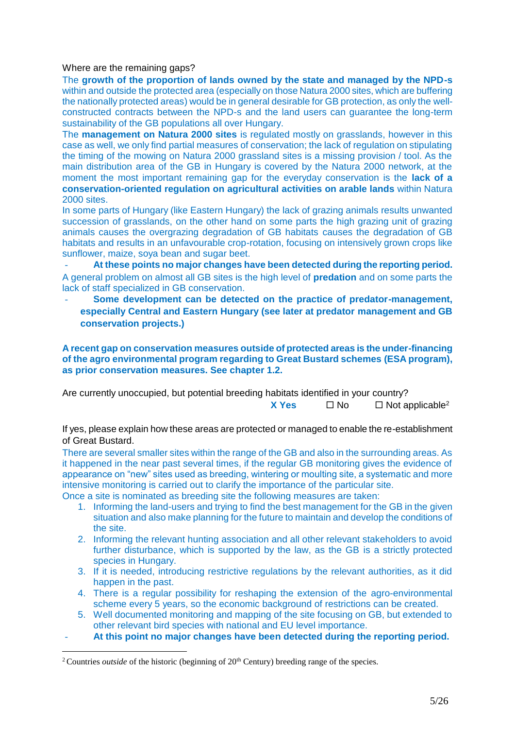#### Where are the remaining gaps?

The **growth of the proportion of lands owned by the state and managed by the NPD-s**  within and outside the protected area (especially on those Natura 2000 sites, which are buffering the nationally protected areas) would be in general desirable for GB protection, as only the wellconstructed contracts between the NPD-s and the land users can guarantee the long-term sustainability of the GB populations all over Hungary.

The **management on Natura 2000 sites** is regulated mostly on grasslands, however in this case as well, we only find partial measures of conservation; the lack of regulation on stipulating the timing of the mowing on Natura 2000 grassland sites is a missing provision / tool. As the main distribution area of the GB in Hungary is covered by the Natura 2000 network, at the moment the most important remaining gap for the everyday conservation is the **lack of a conservation-oriented regulation on agricultural activities on arable lands** within Natura 2000 sites.

In some parts of Hungary (like Eastern Hungary) the lack of grazing animals results unwanted succession of grasslands, on the other hand on some parts the high grazing unit of grazing animals causes the overgrazing degradation of GB habitats causes the degradation of GB habitats and results in an unfavourable crop-rotation, focusing on intensively grown crops like sunflower, maize, soya bean and sugar beet.

- **At these points no major changes have been detected during the reporting period.** A general problem on almost all GB sites is the high level of **predation** and on some parts the lack of staff specialized in GB conservation.

- **Some development can be detected on the practice of predator-management, especially Central and Eastern Hungary (see later at predator management and GB conservation projects.)**

**A recent gap on conservation measures outside of protected areas is the under-financing of the agro environmental program regarding to Great Bustard schemes (ESA program), as prior conservation measures. See chapter 1.2.**

Are currently unoccupied, but potential breeding habitats identified in your country? **X** Yes  $\Box$  No  $\Box$  Not applicable<sup>2</sup>

If yes, please explain how these areas are protected or managed to enable the re-establishment of Great Bustard.

There are several smaller sites within the range of the GB and also in the surrounding areas. As it happened in the near past several times, if the regular GB monitoring gives the evidence of appearance on "new" sites used as breeding, wintering or moulting site, a systematic and more intensive monitoring is carried out to clarify the importance of the particular site.

Once a site is nominated as breeding site the following measures are taken:

- 1. Informing the land-users and trying to find the best management for the GB in the given situation and also make planning for the future to maintain and develop the conditions of the site.
- 2. Informing the relevant hunting association and all other relevant stakeholders to avoid further disturbance, which is supported by the law, as the GB is a strictly protected species in Hungary.
- 3. If it is needed, introducing restrictive regulations by the relevant authorities, as it did happen in the past.
- 4. There is a regular possibility for reshaping the extension of the agro-environmental scheme every 5 years, so the economic background of restrictions can be created.
- 5. Well documented monitoring and mapping of the site focusing on GB, but extended to other relevant bird species with national and EU level importance.
- At this point no major changes have been detected during the reporting period.

<sup>&</sup>lt;sup>2</sup> Countries *outside* of the historic (beginning of 20<sup>th</sup> Century) breeding range of the species.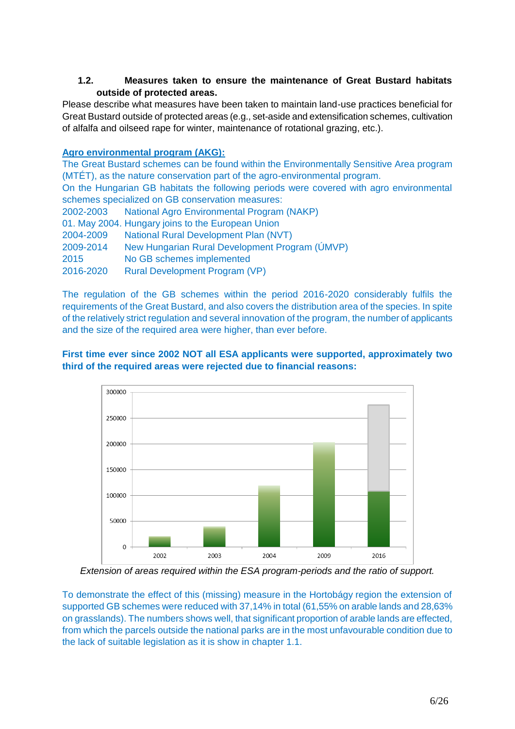## **1.2. Measures taken to ensure the maintenance of Great Bustard habitats outside of protected areas.**

Please describe what measures have been taken to maintain land-use practices beneficial for Great Bustard outside of protected areas (e.g., set-aside and extensification schemes, cultivation of alfalfa and oilseed rape for winter, maintenance of rotational grazing, etc.).

### **Agro environmental program (AKG):**

The Great Bustard schemes can be found within the Environmentally Sensitive Area program (MTÉT), as the nature conservation part of the agro-environmental program.

On the Hungarian GB habitats the following periods were covered with agro environmental schemes specialized on GB conservation measures:

2002-2003 National Agro Environmental Program (NAKP)

- 01. May 2004. Hungary joins to the European Union
- 2004-2009 National Rural Development Plan (NVT)
- 2009-2014 New Hungarian Rural Development Program (ÚMVP)
- 2015 No GB schemes implemented

2016-2020 Rural Development Program (VP)

The regulation of the GB schemes within the period 2016-2020 considerably fulfils the requirements of the Great Bustard, and also covers the distribution area of the species. In spite of the relatively strict regulation and several innovation of the program, the number of applicants and the size of the required area were higher, than ever before.

## **First time ever since 2002 NOT all ESA applicants were supported, approximately two third of the required areas were rejected due to financial reasons:**



*Extension of areas required within the ESA program-periods and the ratio of support.*

To demonstrate the effect of this (missing) measure in the Hortobágy region the extension of supported GB schemes were reduced with 37,14% in total (61,55% on arable lands and 28,63% on grasslands). The numbers shows well, that significant proportion of arable lands are effected, from which the parcels outside the national parks are in the most unfavourable condition due to the lack of suitable legislation as it is show in chapter 1.1.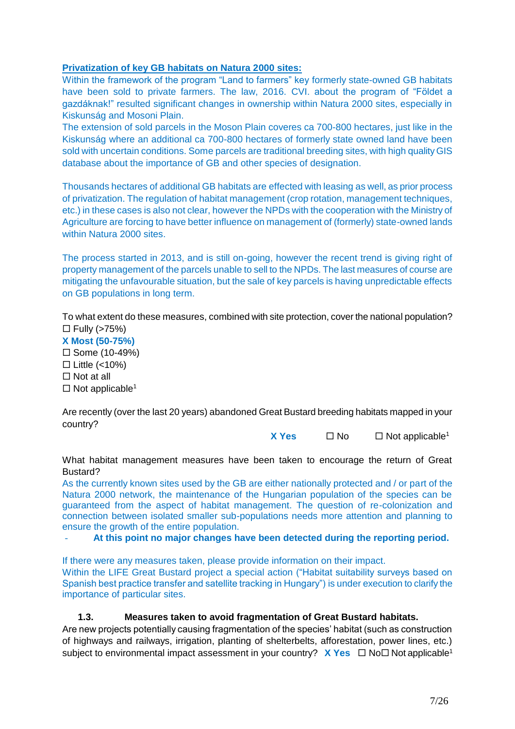### **Privatization of key GB habitats on Natura 2000 sites:**

Within the framework of the program "Land to farmers" key formerly state-owned GB habitats have been sold to private farmers. The law, 2016. CVI. about the program of "Földet a gazdáknak!" resulted significant changes in ownership within Natura 2000 sites, especially in Kiskunság and Mosoni Plain.

The extension of sold parcels in the Moson Plain coveres ca 700-800 hectares, just like in the Kiskunság where an additional ca 700-800 hectares of formerly state owned land have been sold with uncertain conditions. Some parcels are traditional breeding sites, with high quality GIS database about the importance of GB and other species of designation.

Thousands hectares of additional GB habitats are effected with leasing as well, as prior process of privatization. The regulation of habitat management (crop rotation, management techniques, etc.) in these cases is also not clear, however the NPDs with the cooperation with the Ministry of Agriculture are forcing to have better influence on management of (formerly) state-owned lands within Natura 2000 sites.

The process started in 2013, and is still on-going, however the recent trend is giving right of property management of the parcels unable to sell to the NPDs. The last measures of course are mitigating the unfavourable situation, but the sale of key parcels is having unpredictable effects on GB populations in long term.

To what extent do these measures, combined with site protection, cover the national population?  $\Box$  Fully (>75%)

**X Most (50-75%)**  $\square$  Some (10-49%)  $\Box$  Little (<10%)  $\Box$  Not at all  $\Box$  Not applicable<sup>[1](#page-1-0)</sup>

Are recently (over the last 20 years) abandoned Great Bustard breeding habitats mapped in your country?

**X** Y[e](#page-1-0)s  $\Box$  No  $\Box$  Not applicable<sup>1</sup>

What habitat management measures have been taken to encourage the return of Great Bustard?

As the currently known sites used by the GB are either nationally protected and / or part of the Natura 2000 network, the maintenance of the Hungarian population of the species can be guaranteed from the aspect of habitat management. The question of re-colonization and connection between isolated smaller sub-populations needs more attention and planning to ensure the growth of the entire population.

- **At this point no major changes have been detected during the reporting period.**

If there were any measures taken, please provide information on their impact.

Within the LIFE Great Bustard project a special action ("Habitat suitability surveys based on Spanish best practice transfer and satellite tracking in Hungary") is under execution to clarify the importance of particular sites.

### **1.3. Measures taken to avoid fragmentation of Great Bustard habitats.**

Are new projects potentially causing fragmentation of the species' habitat (such as construction of highways and railways, irrigation, planting of shelterbelts, afforestation, power lines, etc.) subj[e](#page-1-0)ct to environmental impact assessment in your country?  $\mathbf{X}$  **Yes**  $\Box$  No $\Box$  Not applicable<sup>1</sup>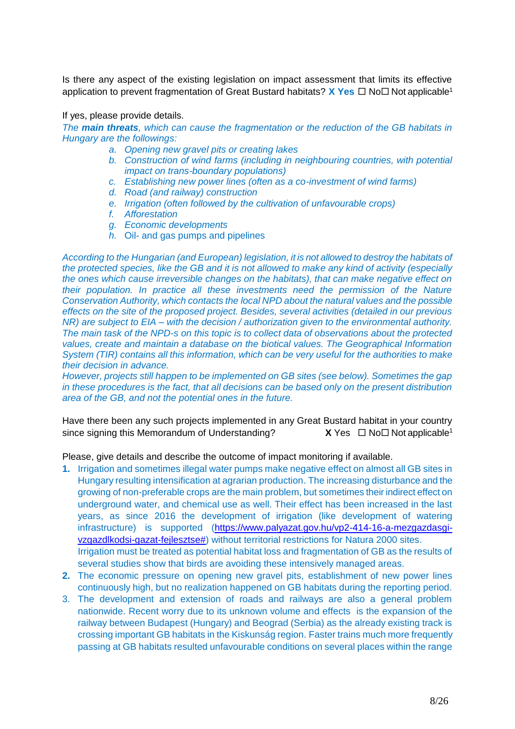Is there any aspect of the existing legislation on impact assessment that limits its effective application to pr[e](#page-1-0)vent fragmentation of Great Bustard habitats? **X Yes** □ No□ Not applicable<sup>1</sup>

If yes, please provide details.

*The main threats, which can cause the fragmentation or the reduction of the GB habitats in Hungary are the followings:*

- *a. Opening new gravel pits or creating lakes*
- *b. Construction of wind farms (including in neighbouring countries, with potential impact on trans-boundary populations)*
- *c. Establishing new power lines (often as a co-investment of wind farms)*
- *d. Road (and railway) construction*
- *e. Irrigation (often followed by the cultivation of unfavourable crops)*
- *f. Afforestation*
- *g. Economic developments*
- *h.* Oil- and gas pumps and pipelines

*According to the Hungarian (and European) legislation, it is not allowed to destroy the habitats of the protected species, like the GB and it is not allowed to make any kind of activity (especially the ones which cause irreversible changes on the habitats), that can make negative effect on their population. In practice all these investments need the permission of the Nature Conservation Authority, which contacts the local NPD about the natural values and the possible effects on the site of the proposed project. Besides, several activities (detailed in our previous NR) are subject to EIA – with the decision / authorization given to the environmental authority. The main task of the NPD-s on this topic is to collect data of observations about the protected values, create and maintain a database on the biotical values. The Geographical Information System (TIR) contains all this information, which can be very useful for the authorities to make their decision in advance.*

*However, projects still happen to be implemented on GB sites (see below). Sometimes the gap in these procedures is the fact, that all decisions can be based only on the present distribution area of the GB, and not the potential ones in the future.*

Have there been any such projects implemented in any Great Bustard habitat in your country sinc[e](#page-1-0) signing this Memorandum of Understanding?  $X$  Yes  $\Box$  No  $\Box$  Not applicable<sup>1</sup>

Please, give details and describe the outcome of impact monitoring if available.

- **1.** Irrigation and sometimes illegal water pumps make negative effect on almost all GB sites in Hungary resulting intensification at agrarian production. The increasing disturbance and the growing of non-preferable crops are the main problem, but sometimes their indirect effect on underground water, and chemical use as well. Their effect has been increased in the last years, as since 2016 the development of irrigation (like development of watering infrastructure) is supported [\(https://www.palyazat.gov.hu/vp2-414-16-a-mezgazdasgi](https://www.palyazat.gov.hu/vp2-414-16-a-mezgazdasgi-vzgazdlkodsi-gazat-fejlesztse)[vzgazdlkodsi-gazat-fejlesztse#\)](https://www.palyazat.gov.hu/vp2-414-16-a-mezgazdasgi-vzgazdlkodsi-gazat-fejlesztse) without territorial restrictions for Natura 2000 sites. Irrigation must be treated as potential habitat loss and fragmentation of GB as the results of several studies show that birds are avoiding these intensively managed areas.
- **2.** The economic pressure on opening new gravel pits, establishment of new power lines continuously high, but no realization happened on GB habitats during the reporting period.
- 3. The development and extension of roads and railways are also a general problem nationwide. Recent worry due to its unknown volume and effects is the expansion of the railway between Budapest (Hungary) and Beograd (Serbia) as the already existing track is crossing important GB habitats in the Kiskunság region. Faster trains much more frequently passing at GB habitats resulted unfavourable conditions on several places within the range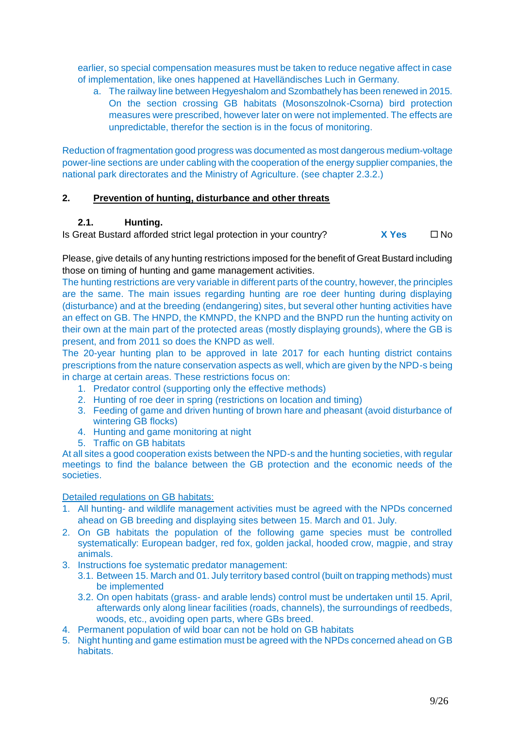earlier, so special compensation measures must be taken to reduce negative affect in case of implementation, like ones happened at [Havelländisches Luch](https://de.wikipedia.org/wiki/Havell%C3%A4ndisches_Luch) in Germany.

a. The railway line between Hegyeshalom and Szombathely has been renewed in 2015. On the section crossing GB habitats (Mosonszolnok-Csorna) bird protection measures were prescribed, however later on were not implemented. The effects are unpredictable, therefor the section is in the focus of monitoring.

Reduction of fragmentation good progress was documented as most dangerous medium-voltage power-line sections are under cabling with the cooperation of the energy supplier companies, the national park directorates and the Ministry of Agriculture. (see chapter 2.3.2.)

## **2. Prevention of hunting, disturbance and other threats**

## **2.1. Hunting.**

Is Great Bustard afforded strict legal protection in your country?  $X Yes \square No$ 

Please, give details of any hunting restrictions imposed for the benefit of Great Bustard including those on timing of hunting and game management activities.

The hunting restrictions are very variable in different parts of the country, however, the principles are the same. The main issues regarding hunting are roe deer hunting during displaying (disturbance) and at the breeding (endangering) sites, but several other hunting activities have an effect on GB. The HNPD, the KMNPD, the KNPD and the BNPD run the hunting activity on their own at the main part of the protected areas (mostly displaying grounds), where the GB is present, and from 2011 so does the KNPD as well.

The 20-year hunting plan to be approved in late 2017 for each hunting district contains prescriptions from the nature conservation aspects as well, which are given by the NPD-s being in charge at certain areas. These restrictions focus on:

- 1. Predator control (supporting only the effective methods)
- 2. Hunting of roe deer in spring (restrictions on location and timing)
- 3. Feeding of game and driven hunting of brown hare and pheasant (avoid disturbance of wintering GB flocks)
- 4. Hunting and game monitoring at night
- 5. Traffic on GB habitats

At all sites a good cooperation exists between the NPD-s and the hunting societies, with regular meetings to find the balance between the GB protection and the economic needs of the societies.

Detailed regulations on GB habitats:

- 1. All hunting- and wildlife management activities must be agreed with the NPDs concerned ahead on GB breeding and displaying sites between 15. March and 01. July.
- 2. On GB habitats the population of the following game species must be controlled systematically: European badger, red fox, golden jackal, hooded crow, magpie, and stray animals.
- 3. Instructions foe systematic predator management:
	- 3.1. Between 15. March and 01. July territory based control (built on trapping methods) must be implemented
	- 3.2. On open habitats (grass- and arable lends) control must be undertaken until 15. April, afterwards only along linear facilities (roads, channels), the surroundings of reedbeds, woods, etc., avoiding open parts, where GBs breed.
- 4. Permanent population of wild boar can not be hold on GB habitats
- 5. Night hunting and game estimation must be agreed with the NPDs concerned ahead on GB habitats.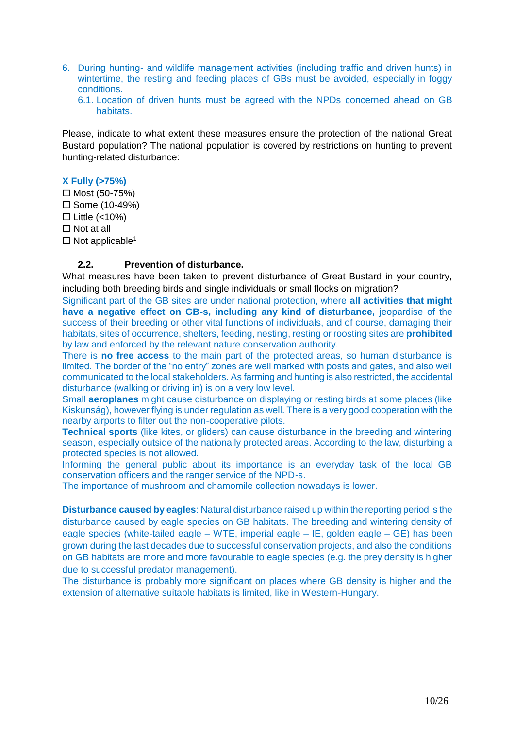- 6. During hunting- and wildlife management activities (including traffic and driven hunts) in wintertime, the resting and feeding places of GBs must be avoided, especially in foggy conditions.
	- 6.1. Location of driven hunts must be agreed with the NPDs concerned ahead on GB habitats.

Please, indicate to what extent these measures ensure the protection of the national Great Bustard population? The national population is covered by restrictions on hunting to prevent hunting-related disturbance:

### **X Fully (>75%)**

 $\Box$  Most (50-75%)  $\square$  Some (10-49%)  $\Box$  Little (<10%)  $\Box$  Not at all  $\Box$  Not applicable<sup>[1](#page-1-0)</sup>

### **2.2. Prevention of disturbance.**

What measures have been taken to prevent disturbance of Great Bustard in your country, including both breeding birds and single individuals or small flocks on migration?

Significant part of the GB sites are under national protection, where **all activities that might have a negative effect on GB-s, including any kind of disturbance,** jeopardise of the success of their breeding or other vital functions of individuals, and of course, damaging their habitats, sites of occurrence, shelters, feeding, nesting, resting or roosting sites are **prohibited**  by law and enforced by the relevant nature conservation authority.

There is **no free access** to the main part of the protected areas, so human disturbance is limited. The border of the "no entry" zones are well marked with posts and gates, and also well communicated to the local stakeholders. As farming and hunting is also restricted, the accidental disturbance (walking or driving in) is on a very low level.

Small **aeroplanes** might cause disturbance on displaying or resting birds at some places (like Kiskunság), however flying is under regulation as well. There is a very good cooperation with the nearby airports to filter out the non-cooperative pilots.

**Technical sports** (like kites, or gliders) can cause disturbance in the breeding and wintering season, especially outside of the nationally protected areas. According to the law, disturbing a protected species is not allowed.

Informing the general public about its importance is an everyday task of the local GB conservation officers and the ranger service of the NPD-s.

The importance of mushroom and chamomile collection nowadays is lower.

**Disturbance caused by eagles**: Natural disturbance raised up within the reporting period is the disturbance caused by eagle species on GB habitats. The breeding and wintering density of eagle species (white-tailed eagle – WTE, imperial eagle – IE, golden eagle – GE) has been grown during the last decades due to successful conservation projects, and also the conditions on GB habitats are more and more favourable to eagle species (e.g. the prey density is higher due to successful predator management).

The disturbance is probably more significant on places where GB density is higher and the extension of alternative suitable habitats is limited, like in Western-Hungary.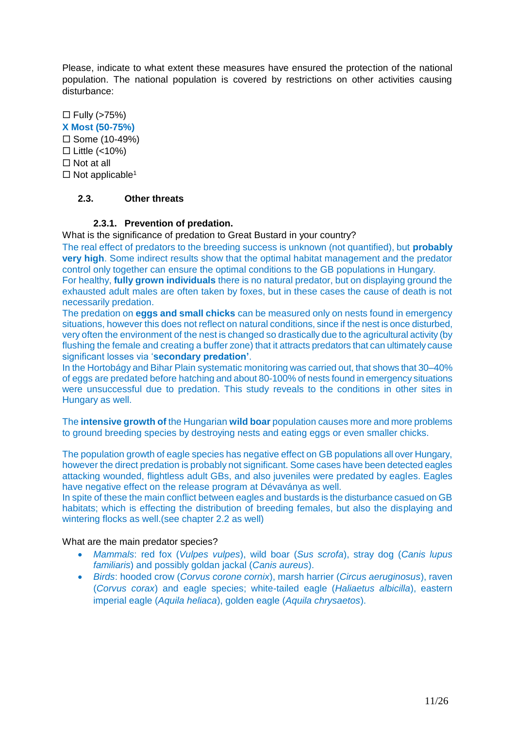Please, indicate to what extent these measures have ensured the protection of the national population. The national population is covered by restrictions on other activities causing disturbance:

 $\Box$  Fully (>75%) **X Most (50-75%)**  $\square$  Some (10-49%)  $\Box$  Little (<10%)  $\Box$  Not at all  $\Box$  Not applicable<sup>[1](#page-1-0)</sup>

## **2.3. Other threats**

### **2.3.1. Prevention of predation.**

What is the significance of predation to Great Bustard in your country?

The real effect of predators to the breeding success is unknown (not quantified), but **probably very high**. Some indirect results show that the optimal habitat management and the predator control only together can ensure the optimal conditions to the GB populations in Hungary.

For healthy, **fully grown individuals** there is no natural predator, but on displaying ground the exhausted adult males are often taken by foxes, but in these cases the cause of death is not necessarily predation.

The predation on **eggs and small chicks** can be measured only on nests found in emergency situations, however this does not reflect on natural conditions, since if the nest is once disturbed, very often the environment of the nest is changed so drastically due to the agricultural activity (by flushing the female and creating a buffer zone) that it attracts predators that can ultimately cause significant losses via '**secondary predation'**.

In the Hortobágy and Bihar Plain systematic monitoring was carried out, that shows that 30–40% of eggs are predated before hatching and about 80-100% of nests found in emergency situations were unsuccessful due to predation. This study reveals to the conditions in other sites in Hungary as well.

The **intensive growth of** the Hungarian **wild boar** population causes more and more problems to ground breeding species by destroying nests and eating eggs or even smaller chicks.

The population growth of eagle species has negative effect on GB populations all over Hungary, however the direct predation is probably not significant. Some cases have been detected eagles attacking wounded, flightless adult GBs, and also juveniles were predated by eagles. Eagles have negative effect on the release program at Dévaványa as well.

In spite of these the main conflict between eagles and bustards is the disturbance casued on GB habitats; which is effecting the distribution of breeding females, but also the displaying and wintering flocks as well.(see chapter 2.2 as well)

### What are the main predator species?

- *Mammals*: red fox (*Vulpes vulpes*), wild boar (*Sus scrofa*), stray dog (*Canis lupus familiaris*) and possibly goldan jackal (*Canis aureus*).
- *Birds*: hooded crow (*Corvus corone cornix*), marsh harrier (*Circus aeruginosus*), raven (*Corvus corax*) and eagle species; white-tailed eagle (*Haliaetus albicilla*), eastern imperial eagle (*Aquila heliaca*), golden eagle (*Aquila chrysaetos*).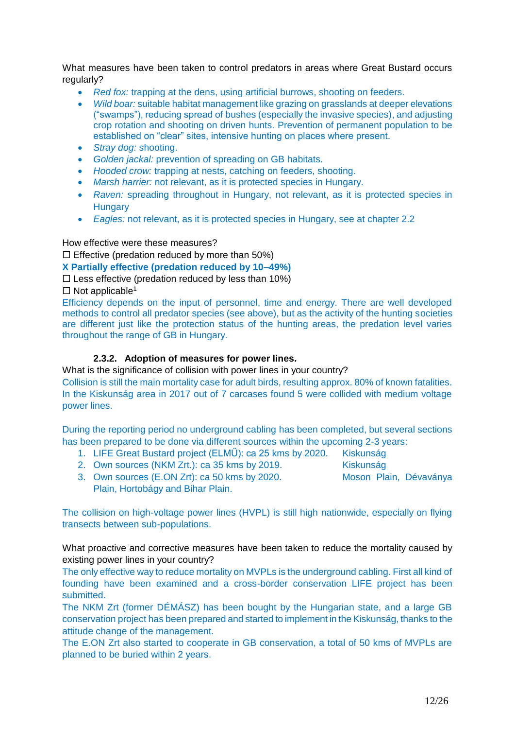What measures have been taken to control predators in areas where Great Bustard occurs regularly?

- *Red fox:* trapping at the dens, using artificial burrows, shooting on feeders.
- *Wild boar:* suitable habitat management like grazing on grasslands at deeper elevations ("swamps"), reducing spread of bushes (especially the invasive species), and adjusting crop rotation and shooting on driven hunts. Prevention of permanent population to be established on "clear" sites, intensive hunting on places where present.
- *Stray dog:* shooting.
- *Golden jackal:* prevention of spreading on GB habitats.
- *Hooded crow:* trapping at nests, catching on feeders, shooting.
- *Marsh harrier:* not relevant, as it is protected species in Hungary.
- *Raven:* spreading throughout in Hungary, not relevant, as it is protected species in **Hungary**
- *Eagles:* not relevant, as it is protected species in Hungary, see at chapter 2.2

How effective were these measures?

 $\square$  Effective (predation reduced by more than 50%)

**X Partially effective (predation reduced by 10–49%)**

 $\square$  Less effective (predation reduced by less than 10%)

 $\Box$  Not applicable<sup>[1](#page-1-0)</sup>

Efficiency depends on the input of personnel, time and energy. There are well developed methods to control all predator species (see above), but as the activity of the hunting societies are different just like the protection status of the hunting areas, the predation level varies throughout the range of GB in Hungary.

## **2.3.2. Adoption of measures for power lines.**

What is the significance of collision with power lines in your country?

Collision is still the main mortality case for adult birds, resulting approx. 80% of known fatalities. In the Kiskunság area in 2017 out of 7 carcases found 5 were collided with medium voltage power lines.

During the reporting period no underground cabling has been completed, but several sections has been prepared to be done via different sources within the upcoming 2-3 years:

- 1. LIFE Great Bustard project (ELMŰ): ca 25 kms by 2020. Kiskunság
- 2. Own sources (NKM Zrt.): ca 35 kms by 2019. Kiskunság
- 
- 3. Own sources (E.ON Zrt): ca 50 kms by 2020. Moson Plain, Dévaványa Plain, Hortobágy and Bihar Plain.

The collision on high-voltage power lines (HVPL) is still high nationwide, especially on flying transects between sub-populations.

What proactive and corrective measures have been taken to reduce the mortality caused by existing power lines in your country?

The only effective way to reduce mortality on MVPLs is the underground cabling. First all kind of founding have been examined and a cross-border conservation LIFE project has been submitted.

The NKM Zrt (former DÉMÁSZ) has been bought by the Hungarian state, and a large GB conservation project has been prepared and started to implement in the Kiskunság, thanks to the attitude change of the management.

The E.ON Zrt also started to cooperate in GB conservation, a total of 50 kms of MVPLs are planned to be buried within 2 years.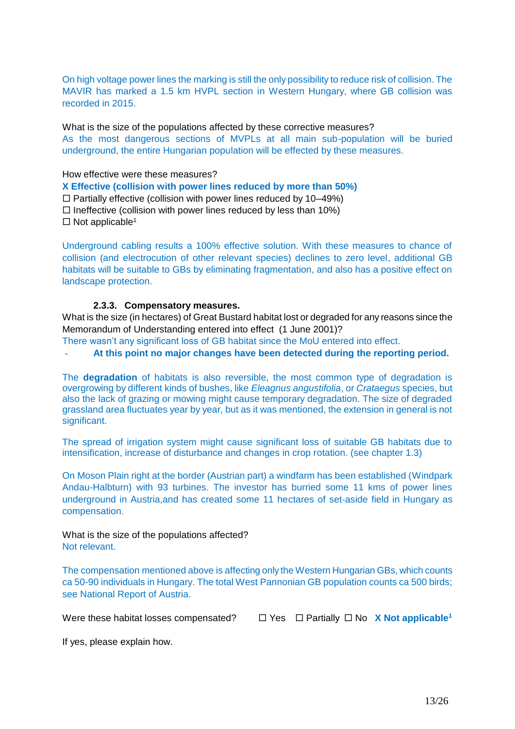On high voltage power lines the marking is still the only possibility to reduce risk of collision. The MAVIR has marked a 1.5 km HVPL section in Western Hungary, where GB collision was recorded in 2015.

What is the size of the populations affected by these corrective measures? As the most dangerous sections of MVPLs at all main sub-population will be buried underground, the entire Hungarian population will be effected by these measures.

How effective were these measures?

**X Effective (collision with power lines reduced by more than 50%)**

 $\Box$  Partially effective (collision with power lines reduced by 10–49%)

- $\Box$  Ineffective (collision with power lines reduced by less than 10%)
- $\Box$  Not applicable<sup>[1](#page-1-0)</sup>

Underground cabling results a 100% effective solution. With these measures to chance of collision (and electrocution of other relevant species) declines to zero level, additional GB habitats will be suitable to GBs by eliminating fragmentation, and also has a positive effect on landscape protection.

#### **2.3.3. Compensatory measures.**

What is the size (in hectares) of Great Bustard habitat lost or degraded for any reasons since the Memorandum of Understanding entered into effect (1 June 2001)?

There wasn't any significant loss of GB habitat since the MoU entered into effect.

- **At this point no major changes have been detected during the reporting period.**

The **degradation** of habitats is also reversible, the most common type of degradation is overgrowing by different kinds of bushes, like *Eleagnus angustifolia*, or *Crataegus* species, but also the lack of grazing or mowing might cause temporary degradation. The size of degraded grassland area fluctuates year by year, but as it was mentioned, the extension in general is not significant.

The spread of irrigation system might cause significant loss of suitable GB habitats due to intensification, increase of disturbance and changes in crop rotation. (see chapter 1.3)

On Moson Plain right at the border (Austrian part) a windfarm has been established (Windpark Andau-Halbturn) with 93 turbines. The investor has burried some 11 kms of power lines underground in Austria,and has created some 11 hectares of set-aside field in Hungary as compensation.

What is the size of the populations affected? Not relevant.

The compensation mentioned above is affecting only the Western Hungarian GBs, which counts ca 50-90 individuals in Hungary. The total West Pannonian GB population counts ca 500 birds; see National Report of Austria.

W[e](#page-1-0)re these habitat losses compensated?  $\Box$  Yes  $\Box$  Partially  $\Box$  No **X** Not applicable<sup>1</sup>

If yes, please explain how.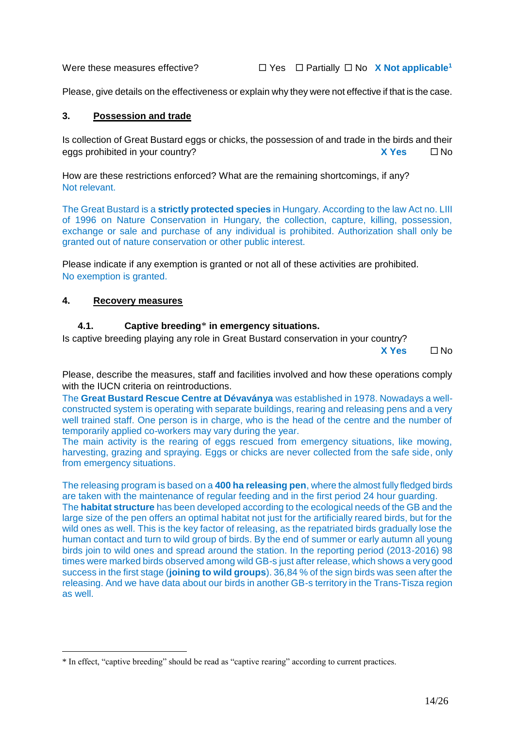W[e](#page-1-0)re these measures effective?  $\Box$  Yes  $\Box$  Partially  $\Box$  No **X Not applicable**<sup>1</sup>

Please, give details on the effectiveness or explain why they were not effective if that is the case.

#### **3. Possession and trade**

Is collection of Great Bustard eggs or chicks, the possession of and trade in the birds and their eggs prohibited in your country? **X Yes** No

How are these restrictions enforced? What are the remaining shortcomings, if any? Not relevant.

The Great Bustard is a **strictly protected species** in Hungary. According to the law Act no. LIII of 1996 on Nature Conservation in Hungary, the collection, capture, killing, possession, exchange or sale and purchase of any individual is prohibited. Authorization shall only be granted out of nature conservation or other public interest.

Please indicate if any exemption is granted or not all of these activities are prohibited. No exemption is granted.

### **4. Recovery measures**

1

#### **4.1. Captive breeding**\* **in emergency situations.**

Is captive breeding playing any role in Great Bustard conservation in your country?

**X Yes** No

Please, describe the measures, staff and facilities involved and how these operations comply with the IUCN criteria on reintroductions.

The **Great Bustard Rescue Centre at Dévaványa** was established in 1978. Nowadays a wellconstructed system is operating with separate buildings, rearing and releasing pens and a very well trained staff. One person is in charge, who is the head of the centre and the number of temporarily applied co-workers may vary during the year.

The main activity is the rearing of eggs rescued from emergency situations, like mowing, harvesting, grazing and spraying. Eggs or chicks are never collected from the safe side, only from emergency situations.

The releasing program is based on a **400 ha releasing pen**, where the almost fully fledged birds are taken with the maintenance of regular feeding and in the first period 24 hour guarding.

The **habitat structure** has been developed according to the ecological needs of the GB and the large size of the pen offers an optimal habitat not just for the artificially reared birds, but for the wild ones as well. This is the key factor of releasing, as the repatriated birds gradually lose the human contact and turn to wild group of birds. By the end of summer or early autumn all young birds join to wild ones and spread around the station. In the reporting period (2013-2016) 98 times were marked birds observed among wild GB-s just after release, which shows a very good success in the first stage (**joining to wild groups**). 36,84 % of the sign birds was seen after the releasing. And we have data about our birds in another GB-s territory in the Trans-Tisza region as well.

<sup>\*</sup> In effect, "captive breeding" should be read as "captive rearing" according to current practices.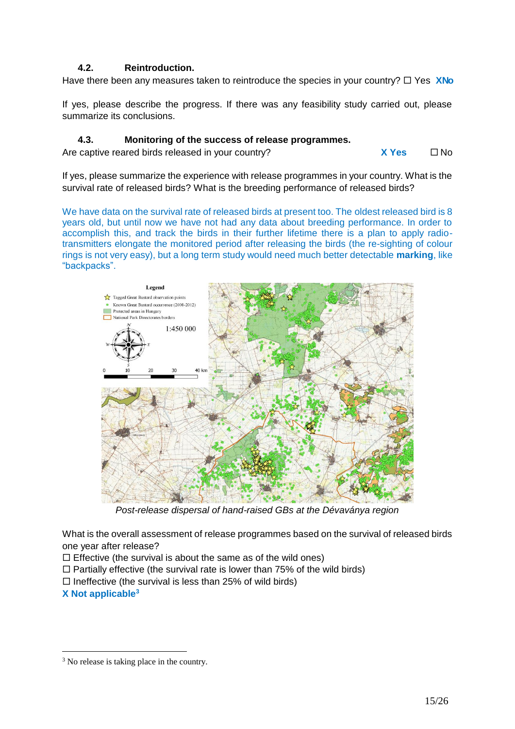## **4.2. Reintroduction.**

Have there been any measures taken to reintroduce the species in your country?  $\Box$  Yes **XNo** 

If yes, please describe the progress. If there was any feasibility study carried out, please summarize its conclusions.

### **4.3. Monitoring of the success of release programmes.**

Are captive reared birds released in your country? **X X** Yes  $\Box$  No

If yes, please summarize the experience with release programmes in your country. What is the survival rate of released birds? What is the breeding performance of released birds?

We have data on the survival rate of released birds at present too. The oldest released bird is 8 years old, but until now we have not had any data about breeding performance. In order to accomplish this, and track the birds in their further lifetime there is a plan to apply radiotransmitters elongate the monitored period after releasing the birds (the re-sighting of colour rings is not very easy), but a long term study would need much better detectable **marking**, like "backpacks".



*Post-release dispersal of hand-raised GBs at the Dévaványa region*

What is the overall assessment of release programmes based on the survival of released birds one year after release?

 $\Box$  Effective (the survival is about the same as of the wild ones)

- $\Box$  Partially effective (the survival rate is lower than 75% of the wild birds)
- $\Box$  Ineffective (the survival is less than 25% of wild birds)

**X Not applicable<sup>3</sup>**

<sup>&</sup>lt;sup>3</sup> No release is taking place in the country.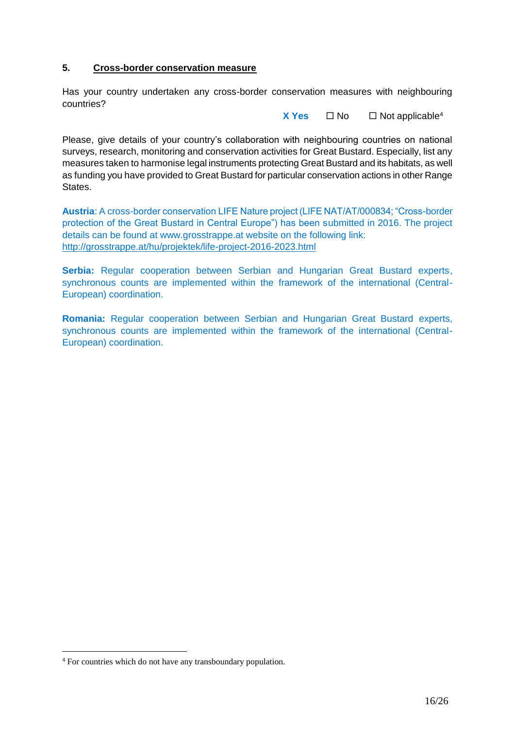### **5. Cross-border conservation measure**

Has your country undertaken any cross-border conservation measures with neighbouring countries?

**X** Yes  $\Box$  No  $\Box$  Not applicable<sup>4</sup>

Please, give details of your country's collaboration with neighbouring countries on national surveys, research, monitoring and conservation activities for Great Bustard. Especially, list any measures taken to harmonise legal instruments protecting Great Bustard and its habitats, as well as funding you have provided to Great Bustard for particular conservation actions in other Range States.

**Austria**: A cross-border conservation LIFE Nature project (LIFE NAT/AT/000834; "Cross-border protection of the Great Bustard in Central Europe") has been submitted in 2016. The project details can be found at www.grosstrappe.at website on the following link: <http://grosstrappe.at/hu/projektek/life-project-2016-2023.html>

**Serbia:** Regular cooperation between Serbian and Hungarian Great Bustard experts, synchronous counts are implemented within the framework of the international (Central-European) coordination.

**Romania:** Regular cooperation between Serbian and Hungarian Great Bustard experts, synchronous counts are implemented within the framework of the international (Central-European) coordination.

<sup>4</sup> For countries which do not have any transboundary population.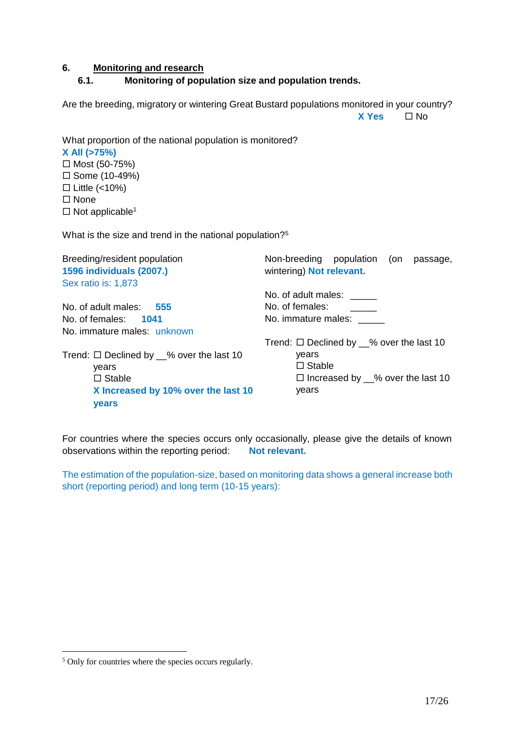#### **6. Monitoring and research**

### **6.1. Monitoring of population size and population trends.**

Are the breeding, migratory or wintering Great Bustard populations monitored in your country? **X Yes** No

What proportion of the national population is monitored? **X All (>75%)**  $\Box$  Most (50-75%)  $\square$  Some (10-49%)  $\Box$  Little (<10%) □ None

 $\square$  Not applicable<sup>[1](#page-1-0)</sup>

What is the size and trend in the national population?<sup>5</sup>

| Non-breeding population<br>on)<br>passage,<br>wintering) Not relevant. |
|------------------------------------------------------------------------|
|                                                                        |
| No. of adult males:                                                    |
| No. of females:                                                        |
| No. immature males:                                                    |
|                                                                        |
| Trend: $\Box$ Declined by $\_\%$ over the last 10                      |
| years                                                                  |
| $\Box$ Stable                                                          |
| $\Box$ Increased by __% over the last 10                               |
| years                                                                  |
|                                                                        |
|                                                                        |

For countries where the species occurs only occasionally, please give the details of known observations within the reporting period: **Not relevant.**

The estimation of the population-size, based on monitoring data shows a general increase both short (reporting period) and long term (10-15 years):

<sup>&</sup>lt;sup>5</sup> Only for countries where the species occurs regularly.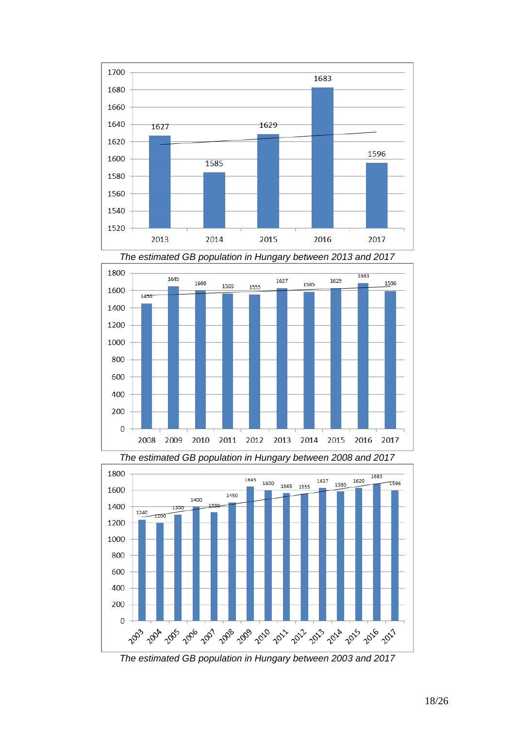



*The estimated GB population in Hungary between 2013 and 2017*

*The estimated GB population in Hungary between 2008 and 2017*



*The estimated GB population in Hungary between 2003 and 2017*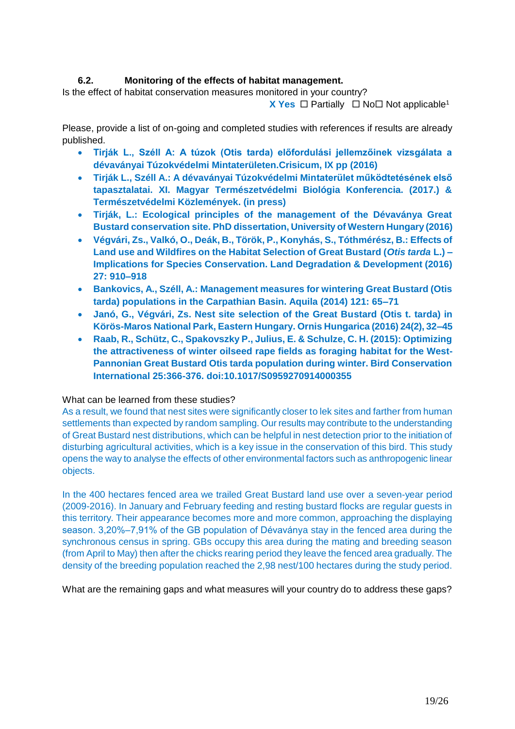## **6.2. Monitoring of the effects of habitat management.**

Is the effect of habitat conservation measures monitored in your country?

**X** Y[e](#page-1-0)s  $\Box$  Partially  $\Box$  No  $\Box$  Not applicable<sup>1</sup>

Please, provide a list of on-going and completed studies with references if results are already published.

- **Tirják L., Széll A: A túzok (Otis tarda) előfordulási jellemzőinek vizsgálata a dévaványai Túzokvédelmi Mintaterületen.Crisicum, IX pp (2016)**
- **Tirják L., Széll A.: A dévaványai Túzokvédelmi Mintaterület működtetésének első tapasztalatai. XI. Magyar Természetvédelmi Biológia Konferencia. (2017.) & Természetvédelmi Közlemények. (in press)**
- **Tirják, L.: Ecological principles of the management of the Dévaványa Great Bustard conservation site. PhD dissertation, University of Western Hungary (2016)**
- **Végvári, Zs., Valkó, O., Deák, B., Török, P., Konyhás, S., Tóthmérész, B.: Effects of Land use and Wildfires on the Habitat Selection of Great Bustard (***Otis tarda* **L.) – Implications for Species Conservation. Land Degradation & Development (2016) 27: 910–918**
- **Bankovics, A., Széll, A.: Management measures for wintering Great Bustard (Otis tarda) populations in the Carpathian Basin. Aquila (2014) 121: 65–71**
- **Janó, G., Végvári, Zs. Nest site selection of the Great Bustard (Otis t. tarda) in Körös-Maros National Park, Eastern Hungary. Ornis Hungarica (2016) 24(2), 32–45**
- **Raab, R., Schütz, C., Spakovszky P., Julius, E. & Schulze, C. H. (2015): Optimizing the attractiveness of winter oilseed rape fields as foraging habitat for the West-Pannonian Great Bustard Otis tarda population during winter. Bird Conservation International 25:366-376. doi:10.1017/S0959270914000355**

### What can be learned from these studies?

As a result, we found that nest sites were significantly closer to lek sites and farther from human settlements than expected by random sampling. Our results may contribute to the understanding of Great Bustard nest distributions, which can be helpful in nest detection prior to the initiation of disturbing agricultural activities, which is a key issue in the conservation of this bird. This study opens the way to analyse the effects of other environmental factors such as anthropogenic linear objects.

In the 400 hectares fenced area we trailed Great Bustard land use over a seven-year period (2009-2016). In January and February feeding and resting bustard flocks are regular guests in this territory. Their appearance becomes more and more common, approaching the displaying season. 3,20%‒7,91% of the GB population of Dévaványa stay in the fenced area during the synchronous census in spring. GBs occupy this area during the mating and breeding season (from April to May) then after the chicks rearing period they leave the fenced area gradually. The density of the breeding population reached the 2,98 nest/100 hectares during the study period.

What are the remaining gaps and what measures will your country do to address these gaps?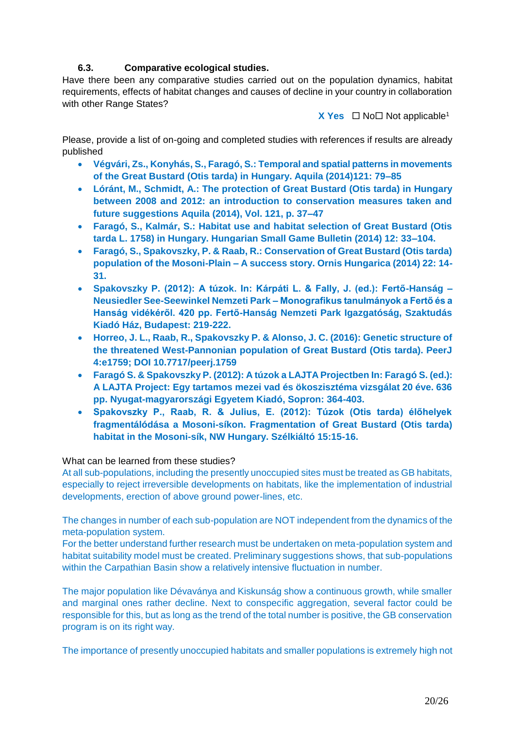## **6.3. Comparative ecological studies.**

Have there been any comparative studies carried out on the population dynamics, habitat requirements, effects of habitat changes and causes of decline in your country in collaboration with other Range States?

**X** Y[e](#page-1-0)s  $\Box$  No  $\Box$  Not applicable<sup>1</sup>

Please, provide a list of on-going and completed studies with references if results are already published

- **Végvári, Zs., Konyhás, S., Faragó, S.: Temporal and spatial patterns in movements of the Great Bustard (Otis tarda) in Hungary. Aquila (2014)121: 79–85**
- **Lóránt, M., Schmidt, A.: The protection of Great Bustard (Otis tarda) in Hungary between 2008 and 2012: an introduction to conservation measures taken and future suggestions Aquila (2014), Vol. 121, p. 37–47**
- **Faragó, S., Kalmár, S.: Habitat use and habitat selection of Great Bustard (Otis tarda L. 1758) in Hungary. Hungarian Small Game Bulletin (2014) 12: 33–104.**
- **Faragó, S., Spakovszky, P. & Raab, R.: Conservation of Great Bustard (Otis tarda) population of the Mosoni-Plain – A success story. Ornis Hungarica (2014) 22: 14- 31.**
- **Spakovszky P. (2012): A túzok. In: Kárpáti L. & Fally, J. (ed.): Fertő-Hanság – Neusiedler See-Seewinkel Nemzeti Park – Monografikus tanulmányok a Fertő és a Hanság vidékéről. 420 pp. Fertő-Hanság Nemzeti Park Igazgatóság, Szaktudás Kiadó Ház, Budapest: 219-222.**
- **Horreo, J. L., Raab, R., Spakovszky P. & Alonso, J. C. (2016): Genetic structure of the threatened West-Pannonian population of Great Bustard (Otis tarda). PeerJ 4:e1759; DOI 10.7717/peerj.1759**
- **Faragó S. & Spakovszky P. (2012): A túzok a LAJTA Projectben In: Faragó S. (ed.): A LAJTA Project: Egy tartamos mezei vad és ökoszisztéma vizsgálat 20 éve. 636 pp. Nyugat-magyarországi Egyetem Kiadó, Sopron: 364-403.**
- **Spakovszky P., Raab, R. & Julius, E. (2012): Túzok (Otis tarda) élőhelyek fragmentálódása a Mosoni-síkon. Fragmentation of Great Bustard (Otis tarda) habitat in the Mosoni-sík, NW Hungary. Szélkiáltó 15:15-16.**

### What can be learned from these studies?

At all sub-populations, including the presently unoccupied sites must be treated as GB habitats, especially to reject irreversible developments on habitats, like the implementation of industrial developments, erection of above ground power-lines, etc.

The changes in number of each sub-population are NOT independent from the dynamics of the meta-population system.

For the better understand further research must be undertaken on meta-population system and habitat suitability model must be created. Preliminary suggestions shows, that sub-populations within the Carpathian Basin show a relatively intensive fluctuation in number.

The major population like Dévaványa and Kiskunság show a continuous growth, while smaller and marginal ones rather decline. Next to conspecific aggregation, several factor could be responsible for this, but as long as the trend of the total number is positive, the GB conservation program is on its right way.

The importance of presently unoccupied habitats and smaller populations is extremely high not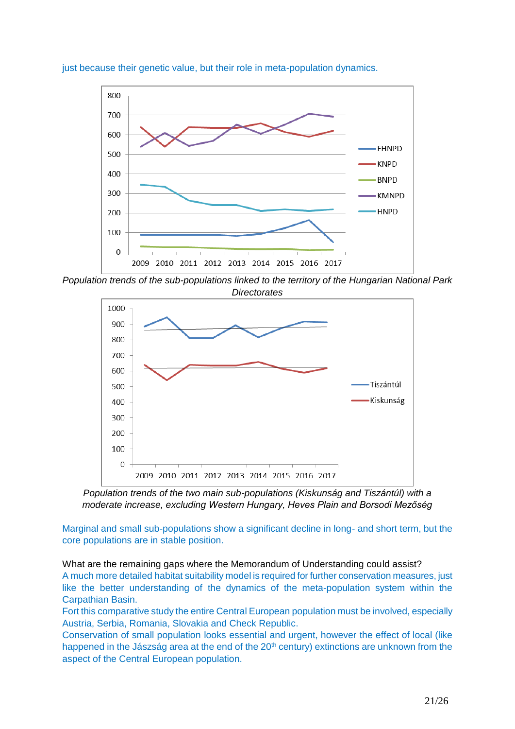

just because their genetic value, but their role in meta-population dynamics.

*Population trends of the sub-populations linked to the territory of the Hungarian National Park Directorates*



*Population trends of the two main sub-populations (Kiskunság and Tiszántúl) with a moderate increase, excluding Western Hungary, Heves Plain and Borsodi Mezőség*

Marginal and small sub-populations show a significant decline in long- and short term, but the core populations are in stable position.

What are the remaining gaps where the Memorandum of Understanding could assist? A much more detailed habitat suitability model is required for further conservation measures, just like the better understanding of the dynamics of the meta-population system within the Carpathian Basin.

Fort this comparative study the entire Central European population must be involved, especially Austria, Serbia, Romania, Slovakia and Check Republic.

Conservation of small population looks essential and urgent, however the effect of local (like happened in the Jászság area at the end of the 20<sup>th</sup> century) extinctions are unknown from the aspect of the Central European population.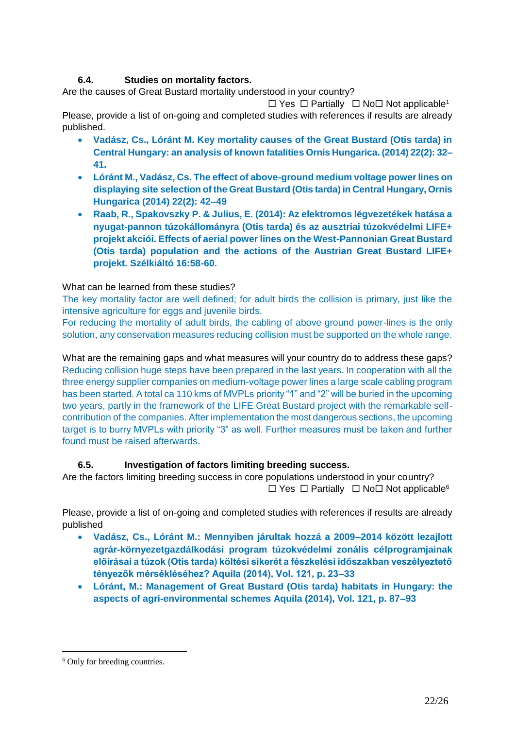# **6.4. Studies on mortality factors.**

Are the causes of Great Bustard mortality understood in your country?

 $\Box$  Y[e](#page-1-0)s  $\Box$  Partially  $\Box$  No  $\Box$  Not applicable<sup>1</sup>

Please, provide a list of on-going and completed studies with references if results are already published.

- **Vadász, Cs., Lóránt M. Key mortality causes of the Great Bustard (Otis tarda) in Central Hungary: an analysis of known fatalities Ornis Hungarica. (2014) 22(2): 32– 41.**
- **Lóránt M., Vadász, Cs. The effect of above-ground medium voltage power lines on displaying site selection of the Great Bustard (Otis tarda) in Central Hungary, Ornis Hungarica (2014) 22(2): 42–49**
- **Raab, R., Spakovszky P. & Julius, E. (2014): Az elektromos légvezetékek hatása a nyugat-pannon túzokállományra (Otis tarda) és az ausztriai túzokvédelmi LIFE+ projekt akciói. Effects of aerial power lines on the West-Pannonian Great Bustard (Otis tarda) population and the actions of the Austrian Great Bustard LIFE+ projekt. Szélkiáltó 16:58-60.**

## What can be learned from these studies?

The key mortality factor are well defined; for adult birds the collision is primary, just like the intensive agriculture for eggs and juvenile birds.

For reducing the mortality of adult birds, the cabling of above ground power-lines is the only solution, any conservation measures reducing collision must be supported on the whole range.

What are the remaining gaps and what measures will your country do to address these gaps? Reducing collision huge steps have been prepared in the last years. In cooperation with all the three energy supplier companies on medium-voltage power lines a large scale cabling program has been started. A total ca 110 kms of MVPLs priority "1" and "2" will be buried in the upcoming two years, partly in the framework of the LIFE Great Bustard project with the remarkable selfcontribution of the companies. After implementation the most dangerous sections, the upcoming target is to burry MVPLs with priority "3" as well. Further measures must be taken and further found must be raised afterwards.

## **6.5. Investigation of factors limiting breeding success.**

Are the factors limiting breeding success in core populations understood in your country?  $\Box$  Yes  $\Box$  Partially  $\Box$  No  $\Box$  Not applicable<sup>6</sup>

Please, provide a list of on-going and completed studies with references if results are already published

- **Vadász, Cs., Lóránt M.: Mennyiben járultak hozzá a 2009–2014 között lezajlott agrár-környezetgazdálkodási program túzokvédelmi zonális célprogramjainak előírásai a túzok (Otis tarda) költési sikerét a fészkelési időszakban veszélyeztető tényezők mérsékléséhez? Aquila (2014), Vol. 121, p. 23–33**
- **Lóránt, M.: Management of Great Bustard (Otis tarda) habitats in Hungary: the aspects of agri-environmental schemes Aquila (2014), Vol. 121, p. 87–93**

<sup>6</sup> Only for breeding countries.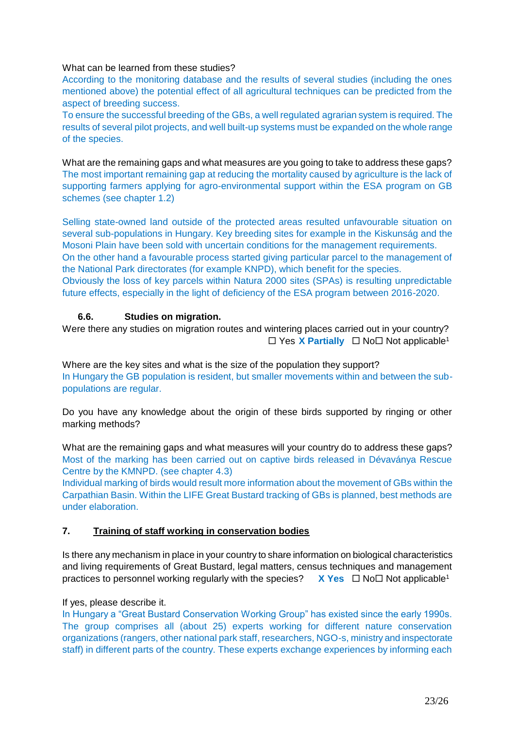### What can be learned from these studies?

According to the monitoring database and the results of several studies (including the ones mentioned above) the potential effect of all agricultural techniques can be predicted from the aspect of breeding success.

To ensure the successful breeding of the GBs, a well regulated agrarian system is required. The results of several pilot projects, and well built-up systems must be expanded on the whole range of the species.

What are the remaining gaps and what measures are you going to take to address these gaps? The most important remaining gap at reducing the mortality caused by agriculture is the lack of supporting farmers applying for agro-environmental support within the ESA program on GB schemes (see chapter 1.2)

Selling state-owned land outside of the protected areas resulted unfavourable situation on several sub-populations in Hungary. Key breeding sites for example in the Kiskunság and the Mosoni Plain have been sold with uncertain conditions for the management requirements. On the other hand a favourable process started giving particular parcel to the management of the National Park directorates (for example KNPD), which benefit for the species. Obviously the loss of key parcels within Natura 2000 sites (SPAs) is resulting unpredictable future effects, especially in the light of deficiency of the ESA program between 2016-2020.

## **6.6. Studies on migration.**

Were there any studies on migration routes and wintering places carried out in your country?  $\Box$  Y[e](#page-1-0)s **X Partially**  $\Box$  No  $\Box$  Not applicable<sup>1</sup>

Where are the key sites and what is the size of the population they support? In Hungary the GB population is resident, but smaller movements within and between the subpopulations are regular.

Do you have any knowledge about the origin of these birds supported by ringing or other marking methods?

What are the remaining gaps and what measures will your country do to address these gaps? Most of the marking has been carried out on captive birds released in Dévaványa Rescue Centre by the KMNPD. (see chapter 4.3)

Individual marking of birds would result more information about the movement of GBs within the Carpathian Basin. Within the LIFE Great Bustard tracking of GBs is planned, best methods are under elaboration.

## **7. Training of staff working in conservation bodies**

Is there any mechanism in place in your country to share information on biological characteristics and living requirements of Great Bustard, legal matters, census techniques and management practic[e](#page-1-0)s to personnel working regularly with the species?  $X$  **Yes**  $\Box$  No $\Box$  Not applicable<sup>1</sup>

### If yes, please describe it.

In Hungary a "Great Bustard Conservation Working Group" has existed since the early 1990s. The group comprises all (about 25) experts working for different nature conservation organizations (rangers, other national park staff, researchers, NGO-s, ministry and inspectorate staff) in different parts of the country. These experts exchange experiences by informing each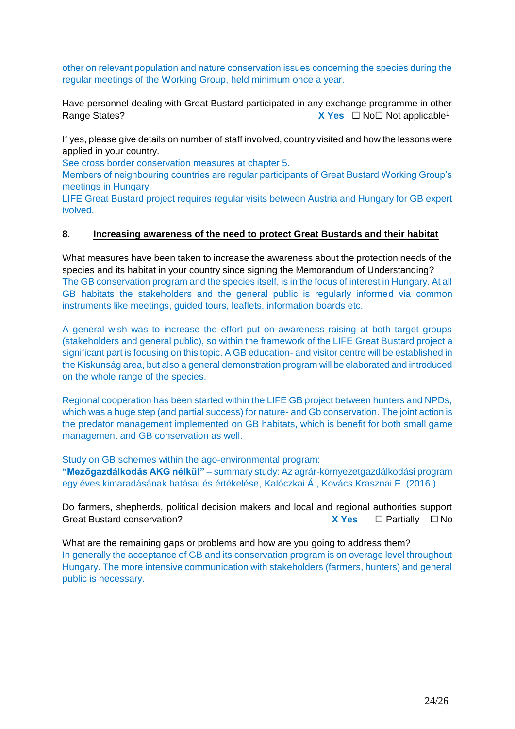other on relevant population and nature conservation issues concerning the species during the regular meetings of the Working Group, held minimum once a year.

Have personnel dealing with Great Bustard participated in any exchange programme in other **Rang[e](#page-1-0) States? X** Yes □ No□ Not applicable<sup>1</sup>

If yes, please give details on number of staff involved, country visited and how the lessons were applied in your country.

See cross border conservation measures at chapter 5.

Members of neighbouring countries are regular participants of Great Bustard Working Group's meetings in Hungary.

LIFE Great Bustard project requires regular visits between Austria and Hungary for GB expert ivolved.

#### **8. Increasing awareness of the need to protect Great Bustards and their habitat**

What measures have been taken to increase the awareness about the protection needs of the species and its habitat in your country since signing the Memorandum of Understanding? The GB conservation program and the species itself, is in the focus of interest in Hungary. At all GB habitats the stakeholders and the general public is regularly informed via common instruments like meetings, guided tours, leaflets, information boards etc.

A general wish was to increase the effort put on awareness raising at both target groups (stakeholders and general public), so within the framework of the LIFE Great Bustard project a significant part is focusing on this topic. A GB education- and visitor centre will be established in the Kiskunság area, but also a general demonstration program will be elaborated and introduced on the whole range of the species.

Regional cooperation has been started within the LIFE GB project between hunters and NPDs, which was a huge step (and partial success) for nature- and Gb conservation. The joint action is the predator management implemented on GB habitats, which is benefit for both small game management and GB conservation as well.

Study on GB schemes within the ago-environmental program: **"Mezőgazdálkodás AKG nélkül"** – summary study: Az agrár-környezetgazdálkodási program egy éves kimaradásának hatásai és értékelése, Kalóczkai Á., Kovács Krasznai E. (2016.)

Do farmers, shepherds, political decision makers and local and regional authorities support Great Bustard conservation? **X** Yes □ Partially □ No

What are the remaining gaps or problems and how are you going to address them? In generally the acceptance of GB and its conservation program is on overage level throughout Hungary. The more intensive communication with stakeholders (farmers, hunters) and general public is necessary.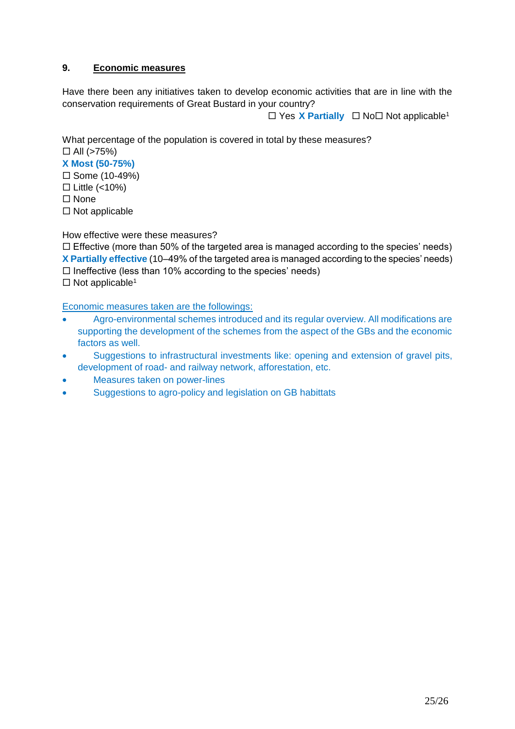## **9. Economic measures**

Have there been any initiatives taken to develop economic activities that are in line with the conservation requirements of Great Bustard in your country?

 $\Box$  Y[e](#page-1-0)s X Partially  $\Box$  No  $\Box$  Not applicable<sup>1</sup>

What percentage of the population is covered in total by these measures?  $\Box$  All (>75%)

**X Most (50-75%)**

 $\square$  Some (10-49%)

 $\Box$  Little (<10%)

 $\square$  None

 $\Box$  Not applicable

How effective were these measures?

 $\Box$  Effective (more than 50% of the targeted area is managed according to the species' needs) **X Partially effective** (10–49% of the targeted area is managed according to the species' needs)  $\Box$  Ineffective (less than 10% according to the species' needs)

 $\Box$  Not applicable<sup>[1](#page-1-0)</sup>

Economic measures taken are the followings:

- Agro-environmental schemes introduced and its regular overview. All modifications are supporting the development of the schemes from the aspect of the GBs and the economic factors as well.
- Suggestions to infrastructural investments like: opening and extension of gravel pits, development of road- and railway network, afforestation, etc.
- Measures taken on power-lines
- Suggestions to agro-policy and legislation on GB habittats